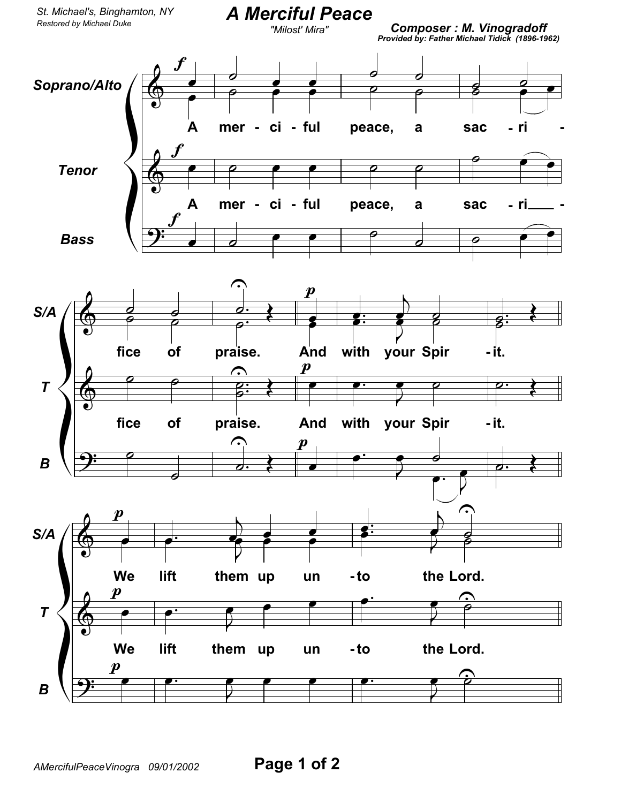